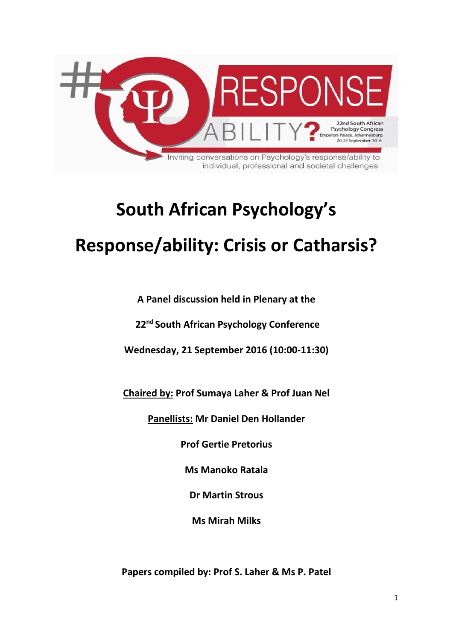

# **South African Psychology's Response/ability: Crisis or Catharsis?**

**A Panel discussion held in Plenary at the** 

**22nd South African Psychology Conference**

**Wednesday, 21 September 2016 (10:00-11:30)**

**Chaired by: Prof Sumaya Laher & Prof Juan Nel**

**Panellists: Mr Daniel Den Hollander**

**Prof Gertie Pretorius**

**Ms Manoko Ratala**

**Dr Martin Strous**

**Ms Mirah Milks**

**Papers compiled by: Prof S. Laher & Ms P. Patel**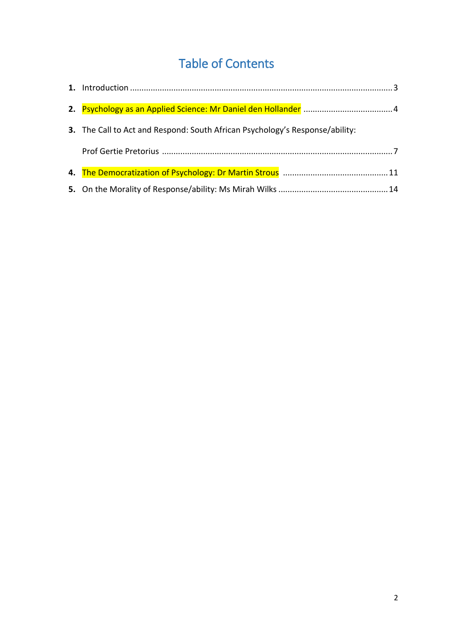## Table of Contents

| 3. The Call to Act and Respond: South African Psychology's Response/ability: |  |
|------------------------------------------------------------------------------|--|
|                                                                              |  |
|                                                                              |  |
|                                                                              |  |
|                                                                              |  |
|                                                                              |  |
|                                                                              |  |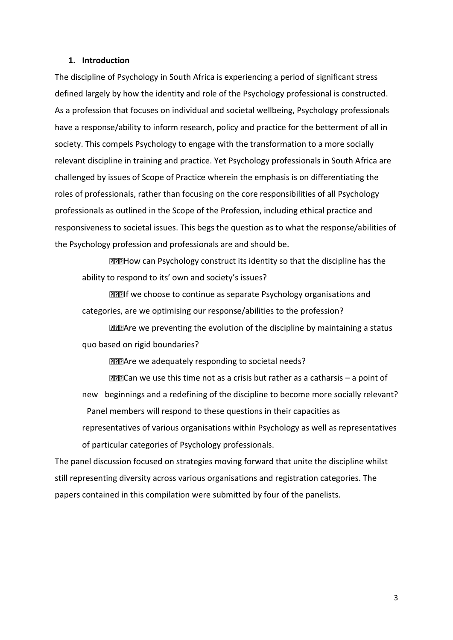## **1. Introduction**

The discipline of Psychology in South Africa is experiencing a period of significant stress defined largely by how the identity and role of the Psychology professional is constructed. As a profession that focuses on individual and societal wellbeing, Psychology professionals have a response/ability to inform research, policy and practice for the betterment of all in society. This compels Psychology to engage with the transformation to a more socially relevant discipline in training and practice. Yet Psychology professionals in South Africa are challenged by issues of Scope of Practice wherein the emphasis is on differentiating the roles of professionals, rather than focusing on the core responsibilities of all Psychology professionals as outlined in the Scope of the Profession, including ethical practice and responsiveness to societal issues. This begs the question as to what the response/abilities of the Psychology profession and professionals are and should be.

**DED How can Psychology construct its identity so that the discipline has the** ability to respond to its' own and society's issues?

**IIII** we choose to continue as separate Psychology organisations and categories, are we optimising our response/abilities to the profession?

**DEBAre we preventing the evolution of the discipline by maintaining a status** quo based on rigid boundaries?

**DRAre we adequately responding to societal needs?** 

Can we use this time not as a crisis but rather as a catharsis – a point of new beginnings and a redefining of the discipline to become more socially relevant? Panel members will respond to these questions in their capacities as

representatives of various organisations within Psychology as well as representatives of particular categories of Psychology professionals.

The panel discussion focused on strategies moving forward that unite the discipline whilst still representing diversity across various organisations and registration categories. The papers contained in this compilation were submitted by four of the panelists.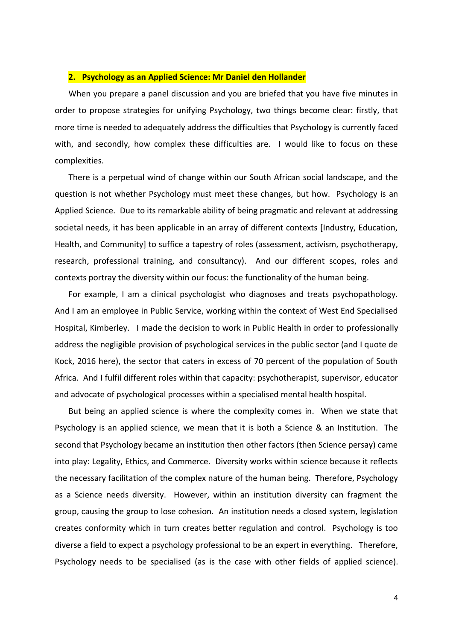## **2. Psychology as an Applied Science: Mr Daniel den Hollander**

When you prepare a panel discussion and you are briefed that you have five minutes in order to propose strategies for unifying Psychology, two things become clear: firstly, that more time is needed to adequately address the difficulties that Psychology is currently faced with, and secondly, how complex these difficulties are. I would like to focus on these complexities.

There is a perpetual wind of change within our South African social landscape, and the question is not whether Psychology must meet these changes, but how. Psychology is an Applied Science. Due to its remarkable ability of being pragmatic and relevant at addressing societal needs, it has been applicable in an array of different contexts [Industry, Education, Health, and Community] to suffice a tapestry of roles (assessment, activism, psychotherapy, research, professional training, and consultancy). And our different scopes, roles and contexts portray the diversity within our focus: the functionality of the human being.

For example, I am a clinical psychologist who diagnoses and treats psychopathology. And I am an employee in Public Service, working within the context of West End Specialised Hospital, Kimberley. I made the decision to work in Public Health in order to professionally address the negligible provision of psychological services in the public sector (and I quote de Kock, 2016 here), the sector that caters in excess of 70 percent of the population of South Africa. And I fulfil different roles within that capacity: psychotherapist, supervisor, educator and advocate of psychological processes within a specialised mental health hospital.

But being an applied science is where the complexity comes in. When we state that Psychology is an applied science, we mean that it is both a Science & an Institution. The second that Psychology became an institution then other factors (then Science persay) came into play: Legality, Ethics, and Commerce. Diversity works within science because it reflects the necessary facilitation of the complex nature of the human being. Therefore, Psychology as a Science needs diversity. However, within an institution diversity can fragment the group, causing the group to lose cohesion. An institution needs a closed system, legislation creates conformity which in turn creates better regulation and control. Psychology is too diverse a field to expect a psychology professional to be an expert in everything. Therefore, Psychology needs to be specialised (as is the case with other fields of applied science).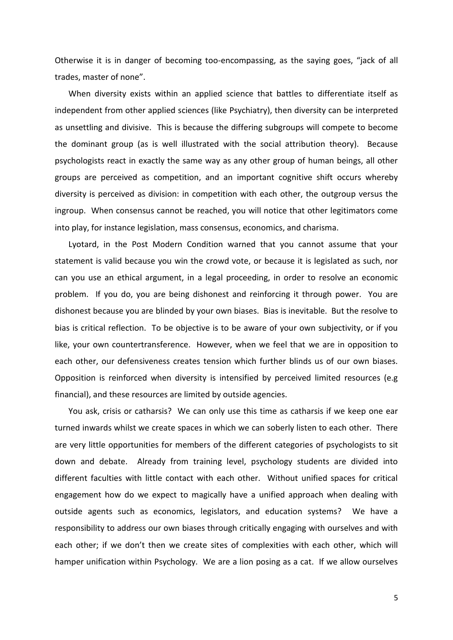Otherwise it is in danger of becoming too-encompassing, as the saying goes, "jack of all trades, master of none".

When diversity exists within an applied science that battles to differentiate itself as independent from other applied sciences (like Psychiatry), then diversity can be interpreted as unsettling and divisive. This is because the differing subgroups will compete to become the dominant group (as is well illustrated with the social attribution theory). Because psychologists react in exactly the same way as any other group of human beings, all other groups are perceived as competition, and an important cognitive shift occurs whereby diversity is perceived as division: in competition with each other, the outgroup versus the ingroup. When consensus cannot be reached, you will notice that other legitimators come into play, for instance legislation, mass consensus, economics, and charisma.

Lyotard, in the Post Modern Condition warned that you cannot assume that your statement is valid because you win the crowd vote, or because it is legislated as such, nor can you use an ethical argument, in a legal proceeding, in order to resolve an economic problem. If you do, you are being dishonest and reinforcing it through power. You are dishonest because you are blinded by your own biases. Bias is inevitable. But the resolve to bias is critical reflection. To be objective is to be aware of your own subjectivity, or if you like, your own countertransference. However, when we feel that we are in opposition to each other, our defensiveness creates tension which further blinds us of our own biases. Opposition is reinforced when diversity is intensified by perceived limited resources (e.g financial), and these resources are limited by outside agencies.

You ask, crisis or catharsis? We can only use this time as catharsis if we keep one ear turned inwards whilst we create spaces in which we can soberly listen to each other. There are very little opportunities for members of the different categories of psychologists to sit down and debate. Already from training level, psychology students are divided into different faculties with little contact with each other. Without unified spaces for critical engagement how do we expect to magically have a unified approach when dealing with outside agents such as economics, legislators, and education systems? We have a responsibility to address our own biases through critically engaging with ourselves and with each other; if we don't then we create sites of complexities with each other, which will hamper unification within Psychology. We are a lion posing as a cat. If we allow ourselves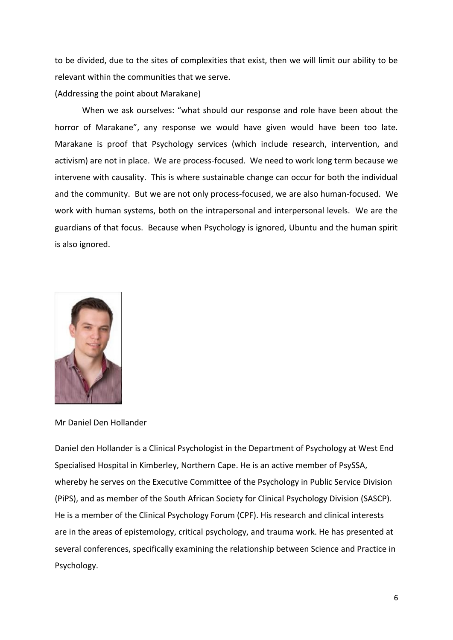to be divided, due to the sites of complexities that exist, then we will limit our ability to be relevant within the communities that we serve.

(Addressing the point about Marakane)

When we ask ourselves: "what should our response and role have been about the horror of Marakane", any response we would have given would have been too late. Marakane is proof that Psychology services (which include research, intervention, and activism) are not in place. We are process-focused. We need to work long term because we intervene with causality. This is where sustainable change can occur for both the individual and the community. But we are not only process-focused, we are also human-focused. We work with human systems, both on the intrapersonal and interpersonal levels. We are the guardians of that focus. Because when Psychology is ignored, Ubuntu and the human spirit is also ignored.



Mr Daniel Den Hollander

Daniel den Hollander is a Clinical Psychologist in the Department of Psychology at West End Specialised Hospital in Kimberley, Northern Cape. He is an active member of PsySSA, whereby he serves on the Executive Committee of the Psychology in Public Service Division (PiPS), and as member of the South African Society for Clinical Psychology Division (SASCP). He is a member of the Clinical Psychology Forum (CPF). His research and clinical interests are in the areas of epistemology, critical psychology, and trauma work. He has presented at several conferences, specifically examining the relationship between Science and Practice in Psychology.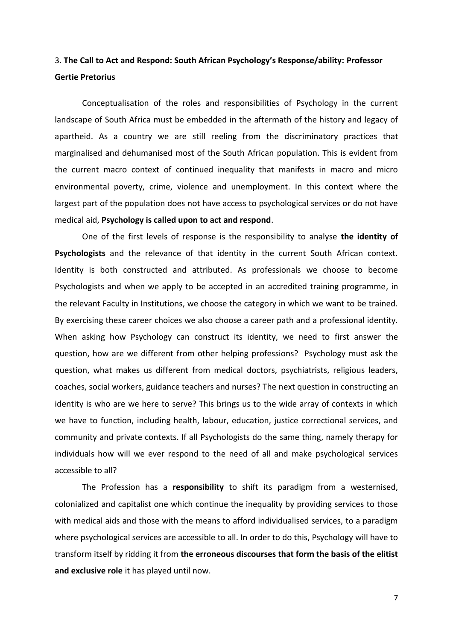## 3. **The Call to Act and Respond: South African Psychology's Response/ability: Professor Gertie Pretorius**

Conceptualisation of the roles and responsibilities of Psychology in the current landscape of South Africa must be embedded in the aftermath of the history and legacy of apartheid. As a country we are still reeling from the discriminatory practices that marginalised and dehumanised most of the South African population. This is evident from the current macro context of continued inequality that manifests in macro and micro environmental poverty, crime, violence and unemployment. In this context where the largest part of the population does not have access to psychological services or do not have medical aid, **Psychology is called upon to act and respond**.

One of the first levels of response is the responsibility to analyse **the identity of Psychologists** and the relevance of that identity in the current South African context. Identity is both constructed and attributed. As professionals we choose to become Psychologists and when we apply to be accepted in an accredited training programme, in the relevant Faculty in Institutions, we choose the category in which we want to be trained. By exercising these career choices we also choose a career path and a professional identity. When asking how Psychology can construct its identity, we need to first answer the question, how are we different from other helping professions? Psychology must ask the question, what makes us different from medical doctors, psychiatrists, religious leaders, coaches, social workers, guidance teachers and nurses? The next question in constructing an identity is who are we here to serve? This brings us to the wide array of contexts in which we have to function, including health, labour, education, justice correctional services, and community and private contexts. If all Psychologists do the same thing, namely therapy for individuals how will we ever respond to the need of all and make psychological services accessible to all?

The Profession has a **responsibility** to shift its paradigm from a westernised, colonialized and capitalist one which continue the inequality by providing services to those with medical aids and those with the means to afford individualised services, to a paradigm where psychological services are accessible to all. In order to do this, Psychology will have to transform itself by ridding it from **the erroneous discourses that form the basis of the elitist and exclusive role** it has played until now.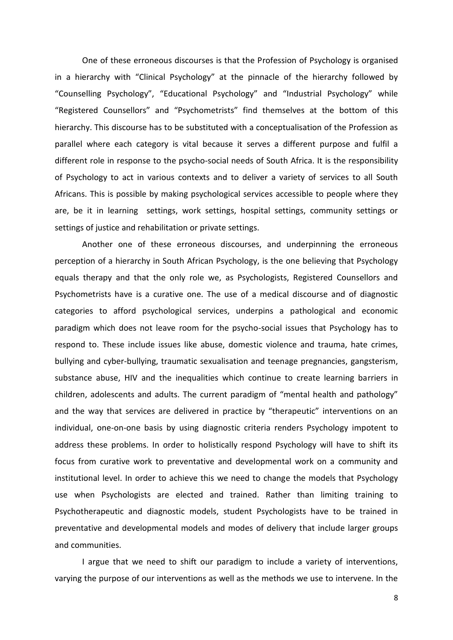One of these erroneous discourses is that the Profession of Psychology is organised in a hierarchy with "Clinical Psychology" at the pinnacle of the hierarchy followed by "Counselling Psychology", "Educational Psychology" and "Industrial Psychology" while "Registered Counsellors" and "Psychometrists" find themselves at the bottom of this hierarchy. This discourse has to be substituted with a conceptualisation of the Profession as parallel where each category is vital because it serves a different purpose and fulfil a different role in response to the psycho-social needs of South Africa. It is the responsibility of Psychology to act in various contexts and to deliver a variety of services to all South Africans. This is possible by making psychological services accessible to people where they are, be it in learning settings, work settings, hospital settings, community settings or settings of justice and rehabilitation or private settings.

Another one of these erroneous discourses, and underpinning the erroneous perception of a hierarchy in South African Psychology, is the one believing that Psychology equals therapy and that the only role we, as Psychologists, Registered Counsellors and Psychometrists have is a curative one. The use of a medical discourse and of diagnostic categories to afford psychological services, underpins a pathological and economic paradigm which does not leave room for the psycho-social issues that Psychology has to respond to. These include issues like abuse, domestic violence and trauma, hate crimes, bullying and cyber-bullying, traumatic sexualisation and teenage pregnancies, gangsterism, substance abuse, HIV and the inequalities which continue to create learning barriers in children, adolescents and adults. The current paradigm of "mental health and pathology" and the way that services are delivered in practice by "therapeutic" interventions on an individual, one-on-one basis by using diagnostic criteria renders Psychology impotent to address these problems. In order to holistically respond Psychology will have to shift its focus from curative work to preventative and developmental work on a community and institutional level. In order to achieve this we need to change the models that Psychology use when Psychologists are elected and trained. Rather than limiting training to Psychotherapeutic and diagnostic models, student Psychologists have to be trained in preventative and developmental models and modes of delivery that include larger groups and communities.

I argue that we need to shift our paradigm to include a variety of interventions, varying the purpose of our interventions as well as the methods we use to intervene. In the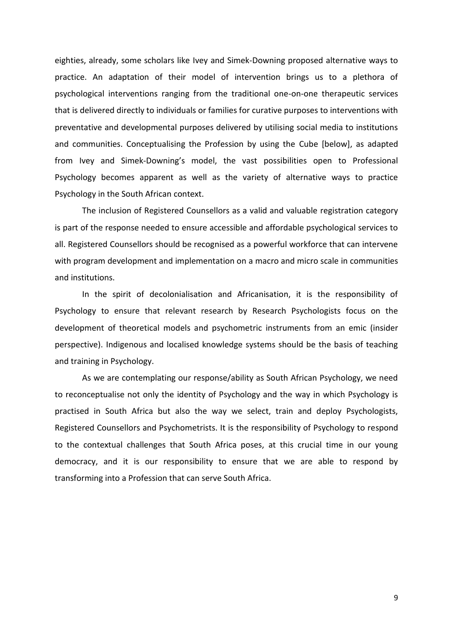eighties, already, some scholars like Ivey and Simek-Downing proposed alternative ways to practice. An adaptation of their model of intervention brings us to a plethora of psychological interventions ranging from the traditional one-on-one therapeutic services that is delivered directly to individuals or families for curative purposes to interventions with preventative and developmental purposes delivered by utilising social media to institutions and communities. Conceptualising the Profession by using the Cube [below], as adapted from Ivey and Simek-Downing's model, the vast possibilities open to Professional Psychology becomes apparent as well as the variety of alternative ways to practice Psychology in the South African context.

The inclusion of Registered Counsellors as a valid and valuable registration category is part of the response needed to ensure accessible and affordable psychological services to all. Registered Counsellors should be recognised as a powerful workforce that can intervene with program development and implementation on a macro and micro scale in communities and institutions.

In the spirit of decolonialisation and Africanisation, it is the responsibility of Psychology to ensure that relevant research by Research Psychologists focus on the development of theoretical models and psychometric instruments from an emic (insider perspective). Indigenous and localised knowledge systems should be the basis of teaching and training in Psychology.

As we are contemplating our response/ability as South African Psychology, we need to reconceptualise not only the identity of Psychology and the way in which Psychology is practised in South Africa but also the way we select, train and deploy Psychologists, Registered Counsellors and Psychometrists. It is the responsibility of Psychology to respond to the contextual challenges that South Africa poses, at this crucial time in our young democracy, and it is our responsibility to ensure that we are able to respond by transforming into a Profession that can serve South Africa.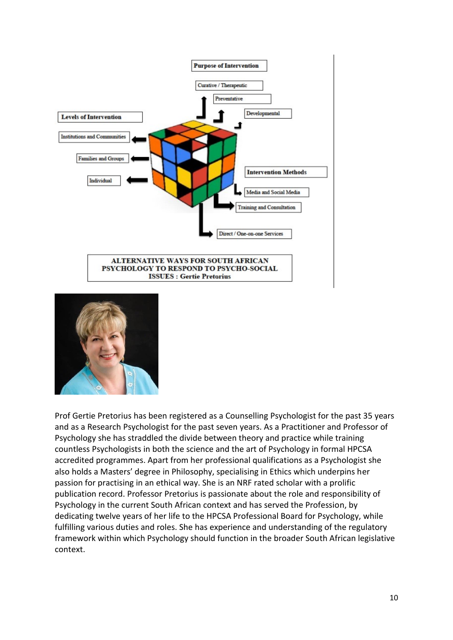



Prof Gertie Pretorius has been registered as a Counselling Psychologist for the past 35 years and as a Research Psychologist for the past seven years. As a Practitioner and Professor of Psychology she has straddled the divide between theory and practice while training countless Psychologists in both the science and the art of Psychology in formal HPCSA accredited programmes. Apart from her professional qualifications as a Psychologist she also holds a Masters' degree in Philosophy, specialising in Ethics which underpins her passion for practising in an ethical way. She is an NRF rated scholar with a prolific publication record. Professor Pretorius is passionate about the role and responsibility of Psychology in the current South African context and has served the Profession, by dedicating twelve years of her life to the HPCSA Professional Board for Psychology, while fulfilling various duties and roles. She has experience and understanding of the regulatory framework within which Psychology should function in the broader South African legislative context.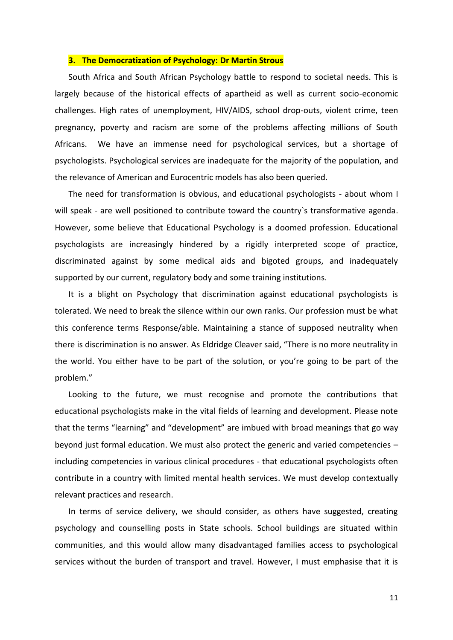## **3. The Democratization of Psychology: Dr Martin Strous**

South Africa and South African Psychology battle to respond to societal needs. This is largely because of the historical effects of apartheid as well as current socio-economic challenges. High rates of unemployment, HIV/AIDS, school drop-outs, violent crime, teen pregnancy, poverty and racism are some of the problems affecting millions of South Africans. We have an immense need for psychological services, but a shortage of psychologists. Psychological services are inadequate for the majority of the population, and the relevance of American and Eurocentric models has also been queried.

The need for transformation is obvious, and educational psychologists - about whom I will speak - are well positioned to contribute toward the country's transformative agenda. However, some believe that Educational Psychology is a doomed profession. Educational psychologists are increasingly hindered by a rigidly interpreted scope of practice, discriminated against by some medical aids and bigoted groups, and inadequately supported by our current, regulatory body and some training institutions.

It is a blight on Psychology that discrimination against educational psychologists is tolerated. We need to break the silence within our own ranks. Our profession must be what this conference terms Response/able. Maintaining a stance of supposed neutrality when there is discrimination is no answer. As Eldridge Cleaver said, "There is no more neutrality in the world. You either have to be part of the solution, or you're going to be part of the problem."

Looking to the future, we must recognise and promote the contributions that educational psychologists make in the vital fields of learning and development. Please note that the terms "learning" and "development" are imbued with broad meanings that go way beyond just formal education. We must also protect the generic and varied competencies – including competencies in various clinical procedures - that educational psychologists often contribute in a country with limited mental health services. We must develop contextually relevant practices and research.

In terms of service delivery, we should consider, as others have suggested, creating psychology and counselling posts in State schools. School buildings are situated within communities, and this would allow many disadvantaged families access to psychological services without the burden of transport and travel. However, I must emphasise that it is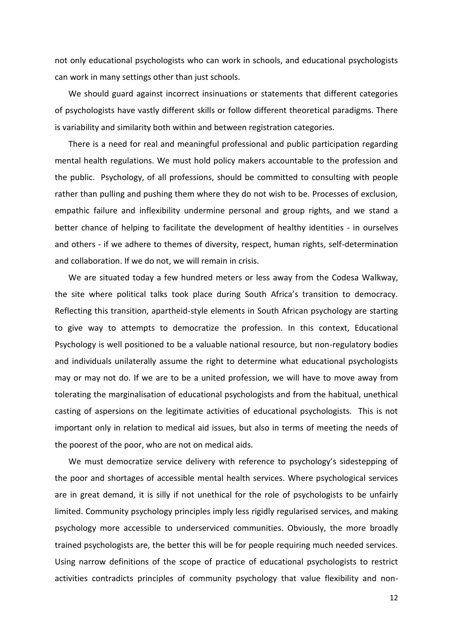not only educational psychologists who can work in schools, and educational psychologists can work in many settings other than just schools.

We should guard against incorrect insinuations or statements that different categories of psychologists have vastly different skills or follow different theoretical paradigms. There is variability and similarity both within and between registration categories.

There is a need for real and meaningful professional and public participation regarding mental health regulations. We must hold policy makers accountable to the profession and the public. Psychology, of all professions, should be committed to consulting with people rather than pulling and pushing them where they do not wish to be. Processes of exclusion, empathic failure and inflexibility undermine personal and group rights, and we stand a better chance of helping to facilitate the development of healthy identities - in ourselves and others - if we adhere to themes of diversity, respect, human rights, self-determination and collaboration. If we do not, we will remain in crisis.

We are situated today a few hundred meters or less away from the Codesa Walkway, the site where political talks took place during South Africa's transition to democracy. Reflecting this transition, apartheid-style elements in South African psychology are starting to give way to attempts to democratize the profession. In this context, Educational Psychology is well positioned to be a valuable national resource, but non-regulatory bodies and individuals unilaterally assume the right to determine what educational psychologists may or may not do. If we are to be a united profession, we will have to move away from tolerating the marginalisation of educational psychologists and from the habitual, unethical casting of aspersions on the legitimate activities of educational psychologists. This is not important only in relation to medical aid issues, but also in terms of meeting the needs of the poorest of the poor, who are not on medical aids.

We must democratize service delivery with reference to psychology's sidestepping of the poor and shortages of accessible mental health services. Where psychological services are in great demand, it is silly if not unethical for the role of psychologists to be unfairly limited. Community psychology principles imply less rigidly regularised services, and making psychology more accessible to underserviced communities. Obviously, the more broadly trained psychologists are, the better this will be for people requiring much needed services. Using narrow definitions of the scope of practice of educational psychologists to restrict activities contradicts principles of community psychology that value flexibility and non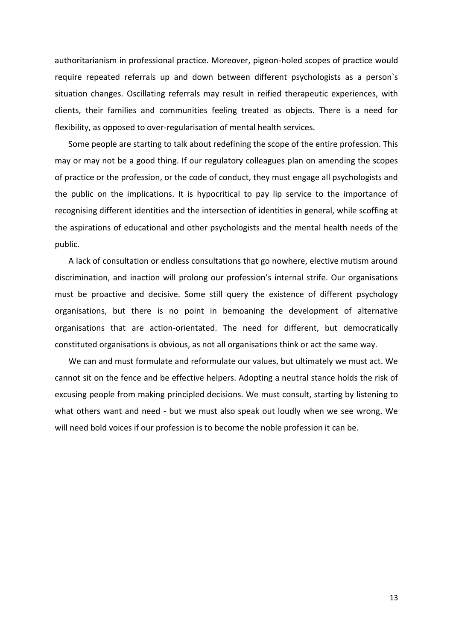authoritarianism in professional practice. Moreover, pigeon-holed scopes of practice would require repeated referrals up and down between different psychologists as a person`s situation changes. Oscillating referrals may result in reified therapeutic experiences, with clients, their families and communities feeling treated as objects. There is a need for flexibility, as opposed to over-regularisation of mental health services.

Some people are starting to talk about redefining the scope of the entire profession. This may or may not be a good thing. If our regulatory colleagues plan on amending the scopes of practice or the profession, or the code of conduct, they must engage all psychologists and the public on the implications. It is hypocritical to pay lip service to the importance of recognising different identities and the intersection of identities in general, while scoffing at the aspirations of educational and other psychologists and the mental health needs of the public.

A lack of consultation or endless consultations that go nowhere, elective mutism around discrimination, and inaction will prolong our profession's internal strife. Our organisations must be proactive and decisive. Some still query the existence of different psychology organisations, but there is no point in bemoaning the development of alternative organisations that are action-orientated. The need for different, but democratically constituted organisations is obvious, as not all organisations think or act the same way.

We can and must formulate and reformulate our values, but ultimately we must act. We cannot sit on the fence and be effective helpers. Adopting a neutral stance holds the risk of excusing people from making principled decisions. We must consult, starting by listening to what others want and need - but we must also speak out loudly when we see wrong. We will need bold voices if our profession is to become the noble profession it can be.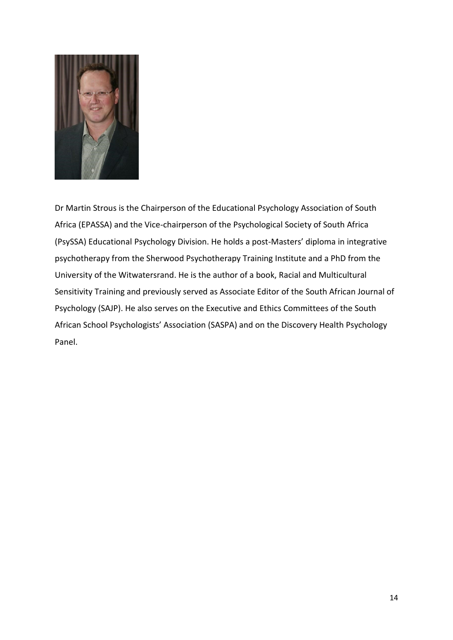

Dr Martin Strous is the Chairperson of the Educational Psychology Association of South Africa (EPASSA) and the Vice-chairperson of the Psychological Society of South Africa (PsySSA) Educational Psychology Division. He holds a post-Masters' diploma in integrative psychotherapy from the Sherwood Psychotherapy Training Institute and a PhD from the University of the Witwatersrand. He is the author of a book, Racial and Multicultural Sensitivity Training and previously served as Associate Editor of the South African Journal of Psychology (SAJP). He also serves on the Executive and Ethics Committees of the South African School Psychologists' Association (SASPA) and on the Discovery Health Psychology Panel.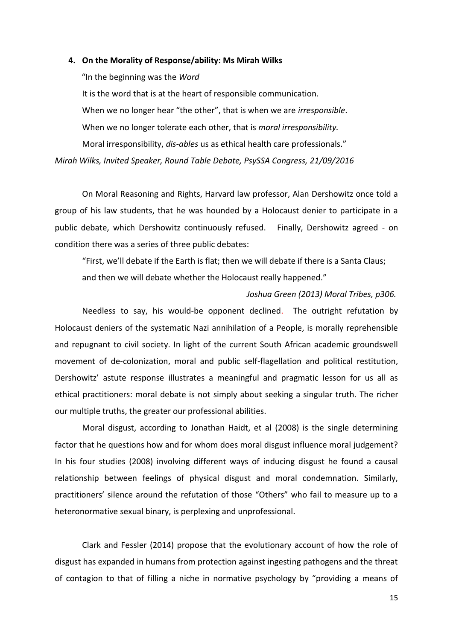#### **4. On the Morality of Response/ability: Ms Mirah Wilks**

"In the beginning was the *Word*

It is the word that is at the heart of responsible communication. When we no longer hear "the other", that is when we are *irresponsible*. When we no longer tolerate each other, that is *moral irresponsibility.* Moral irresponsibility, *dis-ables* us as ethical health care professionals."

*Mirah Wilks, Invited Speaker, Round Table Debate, PsySSA Congress, 21/09/2016*

On Moral Reasoning and Rights, Harvard law professor, Alan Dershowitz once told a group of his law students, that he was hounded by a Holocaust denier to participate in a public debate, which Dershowitz continuously refused. Finally, Dershowitz agreed - on condition there was a series of three public debates:

"First, we'll debate if the Earth is flat; then we will debate if there is a Santa Claus; and then we will debate whether the Holocaust really happened."

## *Joshua Green (2013) Moral Tribes, p306.*

Needless to say, his would-be opponent declined. The outright refutation by Holocaust deniers of the systematic Nazi annihilation of a People, is morally reprehensible and repugnant to civil society. In light of the current South African academic groundswell movement of de-colonization, moral and public self-flagellation and political restitution, Dershowitz' astute response illustrates a meaningful and pragmatic lesson for us all as ethical practitioners: moral debate is not simply about seeking a singular truth. The richer our multiple truths, the greater our professional abilities.

Moral disgust, according to Jonathan Haidt, et al (2008) is the single determining factor that he questions how and for whom does moral disgust influence moral judgement? In his four studies (2008) involving different ways of inducing disgust he found a causal relationship between feelings of physical disgust and moral condemnation. Similarly, practitioners' silence around the refutation of those "Others" who fail to measure up to a heteronormative sexual binary, is perplexing and unprofessional.

Clark and Fessler (2014) propose that the evolutionary account of how the role of disgust has expanded in humans from protection against ingesting pathogens and the threat of contagion to that of filling a niche in normative psychology by "providing a means of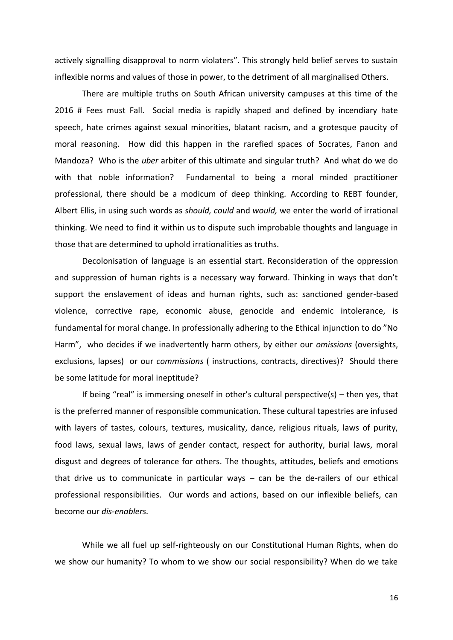actively signalling disapproval to norm violaters". This strongly held belief serves to sustain inflexible norms and values of those in power, to the detriment of all marginalised Others.

There are multiple truths on South African university campuses at this time of the 2016 # Fees must Fall. Social media is rapidly shaped and defined by incendiary hate speech, hate crimes against sexual minorities, blatant racism, and a grotesque paucity of moral reasoning. How did this happen in the rarefied spaces of Socrates, Fanon and Mandoza? Who is the *uber* arbiter of this ultimate and singular truth? And what do we do with that noble information? Fundamental to being a moral minded practitioner professional, there should be a modicum of deep thinking*.* According to REBT founder, Albert Ellis, in using such words as *should, could* and *would,* we enter the world of irrational thinking. We need to find it within us to dispute such improbable thoughts and language in those that are determined to uphold irrationalities as truths.

Decolonisation of language is an essential start. Reconsideration of the oppression and suppression of human rights is a necessary way forward. Thinking in ways that don't support the enslavement of ideas and human rights, such as: sanctioned gender-based violence, corrective rape, economic abuse, genocide and endemic intolerance, is fundamental for moral change. In professionally adhering to the Ethical injunction to do "No Harm", who decides if we inadvertently harm others, by either our *omissions* (oversights, exclusions, lapses) or our *commissions* ( instructions, contracts, directives)? Should there be some latitude for moral ineptitude?

If being "real" is immersing oneself in other's cultural perspective(s) – then yes, that is the preferred manner of responsible communication. These cultural tapestries are infused with layers of tastes, colours, textures, musicality, dance, religious rituals, laws of purity, food laws, sexual laws, laws of gender contact, respect for authority, burial laws, moral disgust and degrees of tolerance for others. The thoughts, attitudes, beliefs and emotions that drive us to communicate in particular ways – can be the de-railers of our ethical professional responsibilities. Our words and actions, based on our inflexible beliefs, can become our *dis-enablers.* 

While we all fuel up self-righteously on our Constitutional Human Rights, when do we show our humanity? To whom to we show our social responsibility? When do we take